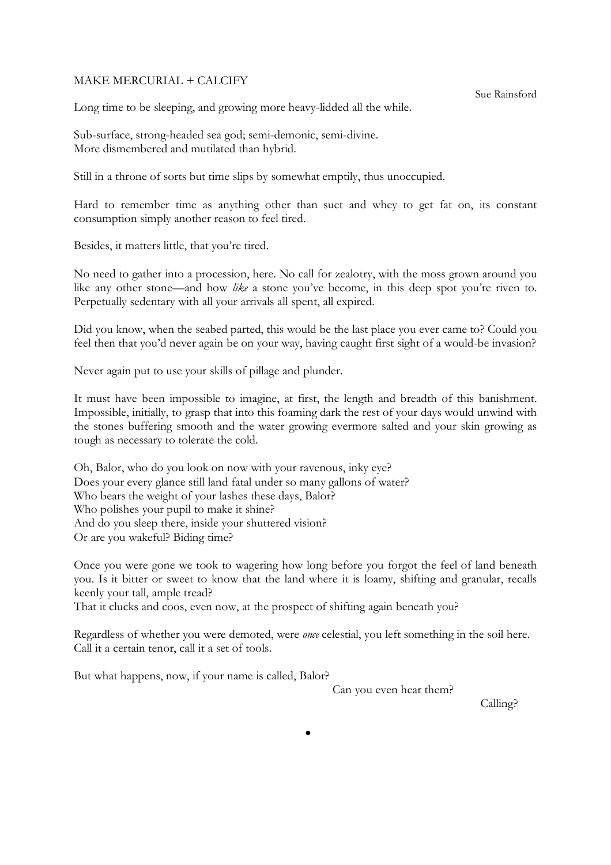## MAKE MERCURIAL + CALCIFY

Sue Rainsford

Long time to be sleeping, and growing more heavy-lidded all the while.

Sub-surface, strong-headed sea god; semi-demonic, semi-divine. More dismembered and mutilated than hybrid.

Still in a throne of sorts but time slips by somewhat emptily, thus unoccupied.

Hard to remember time as anything other than suet and whey to get fat on, its constant consumption simply another reason to feel tired.

Besides, it matters little, that you're tired.

No need to gather into a procession, here. No call for zealotry, with the moss grown around you like any other stone—and how *like* a stone you've become, in this deep spot you're riven to. Perpetually sedentary with all your arrivals all spent, all expired.

Did you know, when the seabed parted, this would be the last place you ever came to? Could you feel then that you'd never again be on your way, having caught first sight of a would-be invasion?

Never again put to use your skills of pillage and plunder.

It must have been impossible to imagine, at first, the length and breadth of this banishment. Impossible, initially, to grasp that into this foaming dark the rest of your days would unwind with the stones buffering smooth and the water growing evermore salted and your skin growing as tough as necessary to tolerate the cold.

Oh, Balor, who do you look on now with your ravenous, inky eye? Does your every glance still land fatal under so many gallons of water? Who bears the weight of your lashes these days, Balor? Who polishes your pupil to make it shine? And do you sleep there, inside your shuttered vision? Or are you wakeful? Biding time?

Once you were gone we took to wagering how long before you forgot the feel of land beneath you. Is it bitter or sweet to know that the land where it is loamy, shifting and granular, recalls keenly your tall, ample tread?

That it clucks and coos, even now, at the prospect of shifting again beneath you?

Regardless of whether you were demoted, were *once* celestial, you left something in the soil here. Call it a certain tenor, call it a set of tools.

But what happens, now, if your name is called, Balor?

Can you even hear them?

Calling?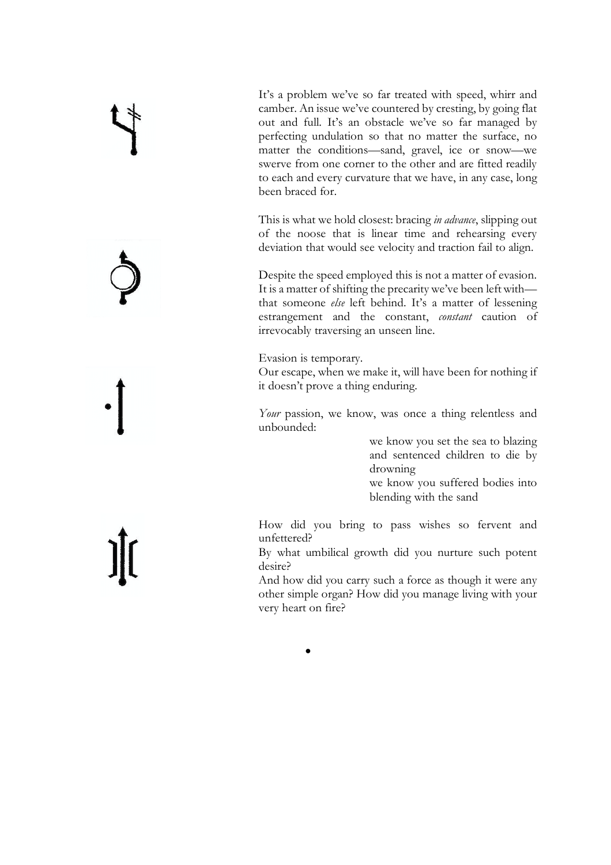It's a problem we've so far treated with speed, whirr and camber. An issue we've countered by cresting, by going flat out and full. It's an obstacle we've so far managed by perfecting undulation so that no matter the surface, no matter the conditions—sand, gravel, ice or snow—we swerve from one corner to the other and are fitted readily to each and every curvature that we have, in any case, long been braced for.

This is what we hold closest: bracing *in advance*, slipping out of the noose that is linear time and rehearsing every deviation that would see velocity and traction fail to align.

Despite the speed employed this is not a matter of evasion. It is a matter of shifting the precarity we've been left with that someone *else* left behind. It's a matter of lessening estrangement and the constant, *constant* caution of irrevocably traversing an unseen line.

Evasion is temporary.

•

Our escape, when we make it, will have been for nothing if it doesn't prove a thing enduring.

*Your* passion, we know, was once a thing relentless and unbounded:

> we know you set the sea to blazing and sentenced children to die by drowning we know you suffered bodies into blending with the sand

How did you bring to pass wishes so fervent and unfettered?

By what umbilical growth did you nurture such potent desire?

And how did you carry such a force as though it were any other simple organ? How did you manage living with your very heart on fire?

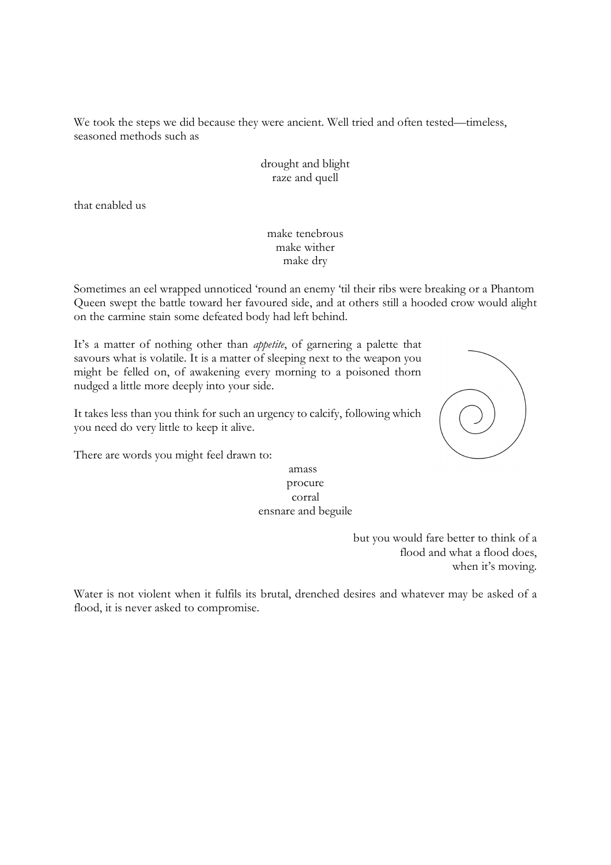We took the steps we did because they were ancient. Well tried and often tested—timeless, seasoned methods such as

> drought and blight raze and quell

that enabled us

## make tenebrous make wither make dry

Sometimes an eel wrapped unnoticed 'round an enemy 'til their ribs were breaking or a Phantom Queen swept the battle toward her favoured side, and at others still a hooded crow would alight on the carmine stain some defeated body had left behind.

It's a matter of nothing other than *appetite*, of garnering a palette that savours what is volatile. It is a matter of sleeping next to the weapon you might be felled on, of awakening every morning to a poisoned thorn nudged a little more deeply into your side.

It takes less than you think for such an urgency to calcify, following which you need do very little to keep it alive.



There are words you might feel drawn to:

## amass procure corral ensnare and beguile

but you would fare better to think of a flood and what a flood does, when it's moving.

Water is not violent when it fulfils its brutal, drenched desires and whatever may be asked of a flood, it is never asked to compromise.